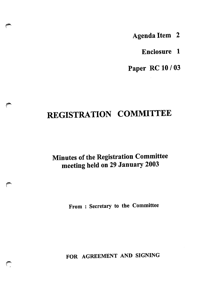Agenda Item 2

Enclosure 1

Paper RC 10 / 03

# REGISTRATION COMMITTEE

## Minutes of the Registration Committee meeting held on 29 January 2003

#

From : Secretary to the Committee

FOR AGREEMENT AND SIGNING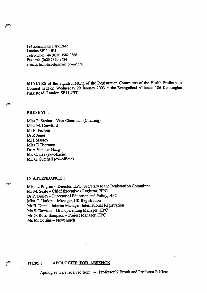184 Kennington Park Road London SE114BU Telephone: +44 (0)20 7582 0866 Fax: +44 (0)20 7820 9684 e-mail: lucinda.pilgrim@hpc-uk.org

MINUTES of the eighth meeting of the Registration Committee of the Health Professions Council held on Wednesday 29 January 2003 at the Evangelical Alliance, 186 Kennington Park Road, London SE11 4BT.

#### PRESENT :

 $\mathbb{Z}$ 

r

Miss P. Sabine - Vice-Chairman (Chairing) Miss M. Crawford Mr P. Frowen Dr R Jones Mr I Massey Miss E Thornton Dr A Van der Gaag Mr. C. Lea (ex-officio) Mr. G. Sutehall (ex-officio)

#### IN ATTENDANCE

Miss L. Pilgrim - Director, HPC, Secretary to the Registration Committee Mr M. Seale - Chief Executive / Registrar, HPC Dr P. Burley - Director of Education and Policy, HPC Miss C. Harkin - Manager, UK Registration Mr R. Dunn - Interim Manager, International Registration Ms S. Dawson - Grandparenting Manager, HPC Mr G. Ross-Sampson - Project Manager, HPC Ms M. Collins - Newchurch

#### ITEM 1 APOLOGIES FOR ABSENCE

Apologies were received from :- Professor N Brook and Professor R Klem.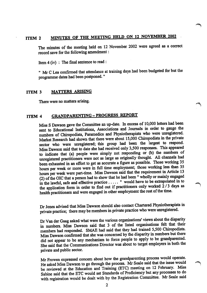### ITEM 2 MINUTES OF THE MEETING HELD ON 12 NOVEMBER 2002

The minutes of the meeting held on 12 November 2002 were agreed as a correct record save for the following amendment:

Item4(iv) : The final sentence to read:

11 Mr C Lea confirmed that attendance at training days had been budgeted for but the programme dates had been postponed."

#### ITEM 3 MATTERS ARISING

There were no matters arising.

#### ITEM 4 GRANDPARENTING - PROGRESS REPORT

Miss S Dawson gave the Committee an up-date. In excess of 10,000 letters had been sent to Educational Institutions, Associations and Journals in order to gauge the numbers of Chiropodists, Paramedics and Physiotherapists who were unregistered. Market Research had shown that there were about 15,000 Chiropodists in the private sector who were unregistered; this group had been the largest to respond. Miss Dawson said that to date she had received only 3,500 responses. This appeared to indicate that (a) people were simply not responding or (b) the numbers of unregistered practitioners were not as large as originally thought. All channels had been exhausted in an effort to get as accurate a figure as possible. Those working 35 hours per week or more were in full time employment; those working less than 35 hours per week were part-time. Miss Dawson said that the requirement in Article 13 (2) of the OIC that a person had to show that he had been" wholly or mainly engaged in the lawful, safe and effective practice  $\ldots$ . " would have to be extrapolated in to the application form in order to find out if practitioners only worked  $2/3$  days as health practitioners and were engaged in other employment the rest of the time.

Dr Jones advised that Miss Dawson should also contact Chartered Physiotherapists in private practice; there may be members in private practice who were unregistered.

Dr Van der Gaag asked what were the various organisations' views about the disparity in numbers. Miss Dawson said that 3 of the listed organisations felt that their members had responded. SMAE had said that they had trained 5,500 Chiropodists. Miss Dawson confirmed that she was concerned by the disparity in numbers but there did not appear to be any mechanism to force people to apply to be grandparented. She said that the Communications Director was about to target employers in both the private and public sector.

Mr Frowen expressed concern about how the grandparenting process would operate. He asked Miss Dawson to go through the process. Mr Seale said that the issue would be reviewed at the Education and Training (ETC) meeting on 12 February. Miss Sabine said that the ETC would set Standards of Proficiency but any processes to do with registration would be dealt with by the Registration Committee. Mr Seale said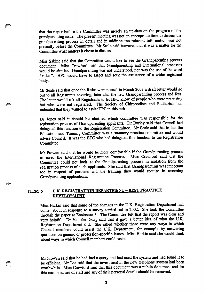that the paper before the Committee was merely an up-date on the progress of the grandparenting issue. The present meeting was not an appropriate time to discuss the grandparenting process in detail and in addition the relevant information was not presently before the Committee. Mr Seale said however that it was a matter for the Committee what matters it chose to discuss.

Miss Sabine said that the Committee would like to see the Grandparenting process document. Miss Crawford said that Grandparenting and International processes would be similar. Grandparenting was not understood, nor was the use of the word " titles ". HPC would have to target and seek the assistance of a wider registrant body.

Mr Seale said that once the Rules were passed in March 2003 a draft letter would go out to all Registrants covering, inter alia, the new Grandparenting process and fees. The letter would ask all Registrants to let HPC know of people who were practising but who were not registered. The Society of Chiropodists and Podiatrists had indicated that they wanted to assist HPC in this task.

Dr Jones said it should be clarified which committee was responsible for the registration process of Grandparenting applicants. Dr Burley said that Council had delegated this function to the Registration Committee. Mr Seale said that in fact the Education and Training Committee was a statutory practice committee and would advise Council. It was the ETC who had delegated this function to the Registration Committee.

Mr Frowen said that he would be more comfortable if the Grandparenting process mirrored the International Registration Process. Miss Crawford said that the Committee could not look at the Grandparenting process in isolation from the registration process of such applicants. She said that Grandparenting was important too in respect of partners and the training they would require in assessing Grandparenting applications.

#### ITEM 5 U.K. REGISTRATION DEPARTMENT - BEST PRACTICE DEVELOPMENT

t

Miss Harkin said that some of the changes in the U.K. Registration Department had come about in response to a survey carried out in 2002. She took the Committee through the paper at Enclosure 3. The Committee felt that the report was clear and very helpful. Dr Van der Gaag said that it gave a better idea of what the U.K. Registration Department did. She asked whether there were any ways in which Council members could assist the U.K. Department, for example by answering questions on generic or profession-specific issues. Miss Harkin said she would think about ways in which Council members could assist.

Mr Frowen said that he had had a query and had used the system and had found it to be efficient. Mr Lea said that the investment in the new telephone system had been worthwhile. Miss Crawford said that this document was a public document and for this reason names of staff and any of their personal details should be removed.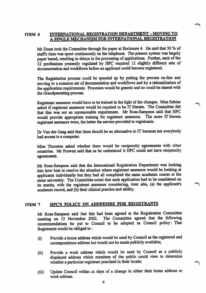#### ITEM 6 INTERNATIONAL REGISTRATION DEPARTMENT - MOVING TO A SINGLE MECHANISM FOR INTERNATIONAL REGISTRATION

Mr Dunn took the Committee through the paper at Enclosure 4. He said that 50 % of staffs time was spent continuously on the telephone. The present system was largely paper based, resulting in delays in the processing of applications. Further, each of the 12 professions presently regulated by HPC required 12 slightly different sets of documentation and workflows before an applicant could become registered.

The Registration process could be speeded up by putting the process on-line and moving to a common set of documentation and workflows and by a rationalisation of the application requirements. Processes would be generic and so could be shared with the Grandparenting process.

Registrant assessors would have to be trained in the light of the changes. Miss Sabine asked if registrant assessors would be required to be IT literate. The Committee felt that this was not an unreasonable requirement. Mr Ross-Sampson said that HPC would provide appropriate training for registrant assessors. The more IT literate registrant assessors were, the better the service provided to registrants.

Dr Van der Gaag said that there should be an alternative to IT because not everybody had access to a computer.

Miss Thornton asked whether there would be reciprocity agreements with other countries. Mr Frowen said that as he understood it HPC could not have reciprocity agreements.

Mr Ross-Sampson said that the International Registration Department was looking into how best to resolve the situation where registrant assessors would be looking at applicants individually but they had all completed the same academic course at the same university. The Committee noted that each application had to be considered on its merits, with the registrant assessors considering, inter alia, (a) the applicant's academic record, and (b) their clinical practice and ability.

#### ITEM 7 HPC'S POLICY ON ADDRESSES FOR REGISTRANTS

Mr Ross-Sampson said that this had been agreed at the Registration Committee meeting on 12 November 2002. The Committee agreed that the following recommendations be put to Council to be adopted as Council policy: That Registrants would be obliged to :

- (i) Provide a home address which would be used by Council as the registered and correspondence address but would not be made publicly available;
- (ii) Provide a work address which would be used by Council as a publicly displayed address which members of the public could view to determine whether a particular registrant practised in their locale;

 $\sim$ 

(iii) Update Council within xx days of a change in either their home address or work address.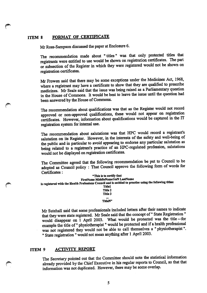#### ITEM 8 FORMAT OF CERTIFICATE

/\$£\

Mr Ross-Sampson discussed the paper at Enclosure 6.

The recommendation made about "titles" was that only protected titles that registrants were entitled to use would be shown on registration certificates. The part or subsection of the Register in which they were registered would not be shown on registration certificates.

Mr Frowen said that there may be some exceptions under the Medicines Act, 1968, where a registrant may have a certificate to show that they are qualified to prescribe medicines. Mr Seale said that the issue was being raised as a Parliamentary question in the House of Commons. It would be best to leave the issue until the question had been answered by the House of Commons.

The recommendation about qualifications was that as the Register would not record approved or non-approved qualifications, these would not appear on registration certificates. However, information about qualifications would be captured in the IT registration system for internal use.

The recommendation about salutations was that HPC would record a registrant's salutation on its Register. However, in the interests of the safety and well-being of the public and in particular to avoid appearing to endorse any particular salutation as being related to a registrant's practice of an HPC-regulated profession, salutations would not be displayed on registration certificates.

The Committee agreed that the following recommendation be put to Council to be adopted as Council policy : That Council approve the following form of words for Certificates:

| "This is to certify that                                                                                  |
|-----------------------------------------------------------------------------------------------------------|
| <b>FirstName MiddleName1toN LastName</b>                                                                  |
| is registered with the Health Professions Council and is entitled to practise using the following titles: |
| <b>Title1</b>                                                                                             |
| Title 2                                                                                                   |
| Title 3                                                                                                   |
|                                                                                                           |
| TitleN"                                                                                                   |

Mr Sutehall said that some professionals included letters after their names to indicate that they were state registered. Mr Seale said that the concept of" State Registration" would disappear on 1 April 2003. What would be protected was the title -- for example the title of" physiotherapist" would be protected and if a health professional was not registered they would not be able to call themselves a " physiotherapist". " State registration " would not mean anything after 1 April 2003.

#### ITEM 9 ACTIVITY REPORT

The Secretary pointed out that the Committee should note the statistical information already provided by the Chief Executive in his regular reports to Council, so that that information was not duplicated. However, there may be some overlap.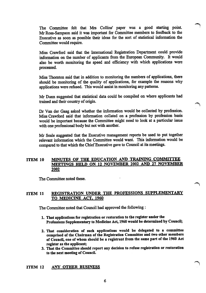The Committee felt that Mrs Collins' paper was a good starting point. Mr Ross-Sampson said it was important for Committee members to feedback to the Executive as soon as possible their ideas for the sort of statistical information the Committee would require.

Miss Crawford said that the International Registration Department could provide information on the number of applicants from the European Community. It would also be worth monitoring the speed and efficiency with which applications were processed.

Miss Thornton said that in addition to monitoring the numbers of applications, there should be monitoring of the quality of applications, for example the reasons why applications were refused. This would assist in monitoring any patterns.

Mr Dunn suggested that statistical data could be compiled on where applicants had trained and their country of origin.

Dr Van der Gaag asked whether the information would be collected by profession. Miss Crawford said that information collated on a profession by profession basis would be important because the Committee might need to look at a particular issue with one professional body but not with another.

Mr Seale suggested that the Executive management reports be used to put together relevant information which the Committee would want. This information would be compared to that which the Chief Executive gave to Council at its meetings.

#### ITEM 10 MINUTES OF THE EDUCATION AND TRAINING COMMITTEE MEETINGS HELD ON 12 NOVEMBER 2002 AND 27 NOVEMBER 2002

The Committee noted these.

#### ITEM 11 REGISTRATION UNDER THE PROFESSIONS SUPPLEMENTARY TO MEDICINE ACT. 1960

The Committee noted that Council had approved the following:

- 1. That applications for registration or restoration to the register under the Professions Supplementary to Medicine Act, 1960 would be determined by Council;
- 2. That consideration of such applications would be delegated to a committee comprised of the Chairman of the Registration Committee and two other members of Council, one of whom should be a registrant from the same part of the 1960 Act register as the applicant;
- 3. That the Committee should report any decision to refuse registration or restoration to the next meeting of Council.

#### ITEM 12 ANY OTHER BUSINESS